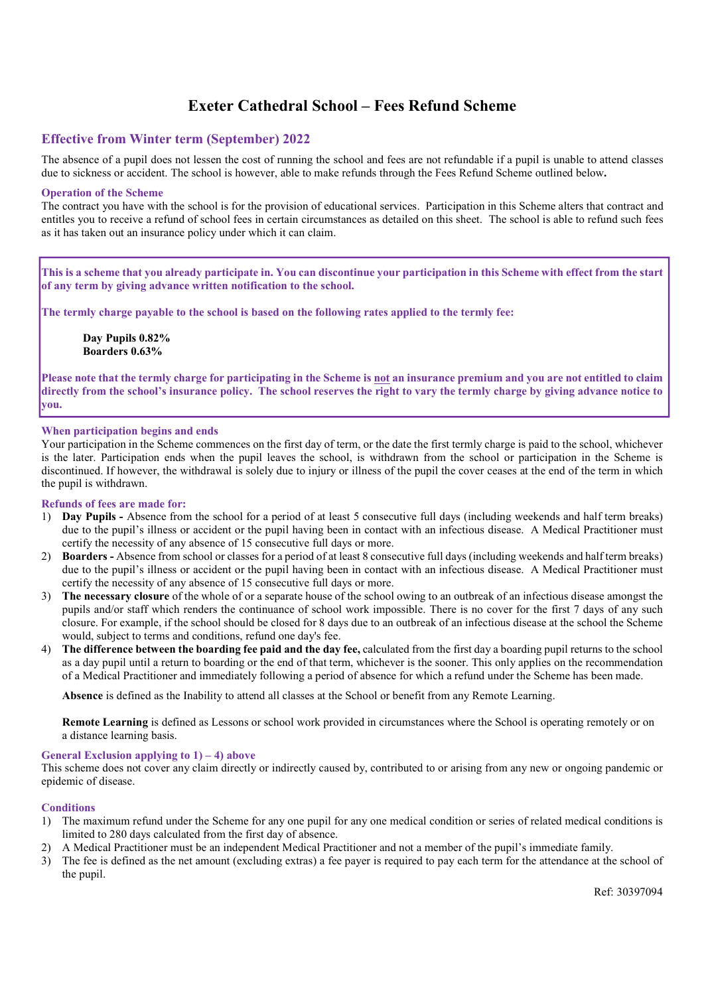# Exeter Cathedral School – Fees Refund Scheme

# Effective from Winter term (September) 202**2**

The absence of a pupil does not lessen the cost of running the school and fees are not refundable if a pupil is unable to attend classes due to sickness or accident. The school is however, able to make refunds through the Fees Refund Scheme outlined below.

# Operation of the Scheme

The contract you have with the school is for the provision of educational services. Participation in this Scheme alters that contract and entitles you to receive a refund of school fees in certain circumstances as detailed on this sheet. The school is able to refund such fees as it has taken out an insurance policy under which it can claim.

This is a scheme that you already participate in. You can discontinue your participation in this Scheme with effect from the start of any term by giving advance written notification to the school.

The termly charge payable to the school is based on the following rates applied to the termly fee:

Day Pupils **0.82**% Boarders **0.63**%

Please note that the termly charge for participating in the Scheme is not an insurance premium and you are not entitled to claim directly from the school's insurance policy. The school reserves the right to vary the termly charge by giving advance notice to you.

# When participation begins and ends

Your participation in the Scheme commences on the first day of term, or the date the first termly charge is paid to the school, whichever is the later. Participation ends when the pupil leaves the school, is withdrawn from the school or participation in the Scheme is discontinued. If however, the withdrawal is solely due to injury or illness of the pupil the cover ceases at the end of the term in which the pupil is withdrawn.

# Refunds of fees are made for:

- 1) Day Pupils Absence from the school for a period of at least 5 consecutive full days (including weekends and half term breaks) due to the pupil's illness or accident or the pupil having been in contact with an infectious disease. A Medical Practitioner must certify the necessity of any absence of 15 consecutive full days or more.
- 2) Boarders Absence from school or classes for a period of at least 8 consecutive full days (including weekends and half term breaks) due to the pupil's illness or accident or the pupil having been in contact with an infectious disease. A Medical Practitioner must certify the necessity of any absence of 15 consecutive full days or more.
- 3) The necessary closure of the whole of or a separate house of the school owing to an outbreak of an infectious disease amongst the pupils and/or staff which renders the continuance of school work impossible. There is no cover for the first 7 days of any such closure. For example, if the school should be closed for 8 days due to an outbreak of an infectious disease at the school the Scheme would, subject to terms and conditions, refund one day's fee.
- 4) The difference between the boarding fee paid and the day fee, calculated from the first day a boarding pupil returns to the school as a day pupil until a return to boarding or the end of that term, whichever is the sooner. This only applies on the recommendation of a Medical Practitioner and immediately following a period of absence for which a refund under the Scheme has been made.

Absence is defined as the Inability to attend all classes at the School or benefit from any Remote Learning.

Remote Learning is defined as Lessons or school work provided in circumstances where the School is operating remotely or on a distance learning basis.

# General Exclusion applying to  $1$ ) – 4) above

This scheme does not cover any claim directly or indirectly caused by, contributed to or arising from any new or ongoing pandemic or epidemic of disease.

# **Conditions**

- 1) The maximum refund under the Scheme for any one pupil for any one medical condition or series of related medical conditions is limited to 280 days calculated from the first day of absence.
- 2) A Medical Practitioner must be an independent Medical Practitioner and not a member of the pupil's immediate family.
- 3) The fee is defined as the net amount (excluding extras) a fee payer is required to pay each term for the attendance at the school of the pupil.